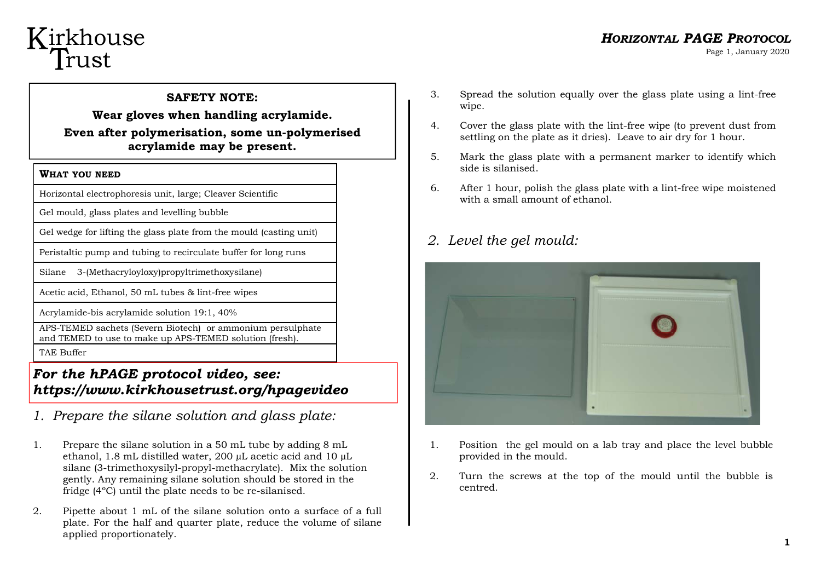## Kirkhouse Trust

### *HORIZONTAL PAGE PROTOCOL*

Page 1, January 2020

**SAFETY NOTE: Wear gloves when handling acrylamide. Even after polymerisation, some un-polymerised acrylamide may be present.** 

#### **WHAT YOU NEED**

Horizontal electrophoresis unit, large; Cleaver Scientific

Gel mould, glass plates and levelling bubble

Gel wedge for lifting the glass plate from the mould (casting unit)

Peristaltic pump and tubing to recirculate buffer for long runs

Silane 3-(Methacryloyloxy)propyltrimethoxysilane)

Acetic acid, Ethanol, 50 mL tubes & lint-free wipes

Acrylamide-bis acrylamide solution 19:1, 40%

APS-TEMED sachets (Severn Biotech) or ammonium persulphate and TEMED to use to make up APS-TEMED solution (fresh).

TAE Buffer

#### *For the hPAGE protocol video, see: https://www.kirkhousetrust.org/hpagevideo*

- *1. Prepare the silane solution and glass plate:*
- 1. Prepare the silane solution in a 50 mL tube by adding 8 mL ethanol, 1.8 mL distilled water, 200 µL acetic acid and 10 µL silane (3-trimethoxysilyl-propyl-methacrylate). Mix the solution gently. Any remaining silane solution should be stored in the fridge (4ºC) until the plate needs to be re-silanised.
- 2. Pipette about 1 mL of the silane solution onto a surface of a full plate. For the half and quarter plate, reduce the volume of silane applied proportionately.
- 3. Spread the solution equally over the glass plate using a lint-free wipe.
- 4. Cover the glass plate with the lint-free wipe (to prevent dust from settling on the plate as it dries). Leave to air dry for 1 hour.
- 5. Mark the glass plate with a permanent marker to identify which side is silanised.
- 6. After 1 hour, polish the glass plate with a lint-free wipe moistened with a small amount of ethanol

#### *2. Level the gel mould:*



- 1. Position the gel mould on a lab tray and place the level bubble provided in the mould.
- 2. Turn the screws at the top of the mould until the bubble is centred.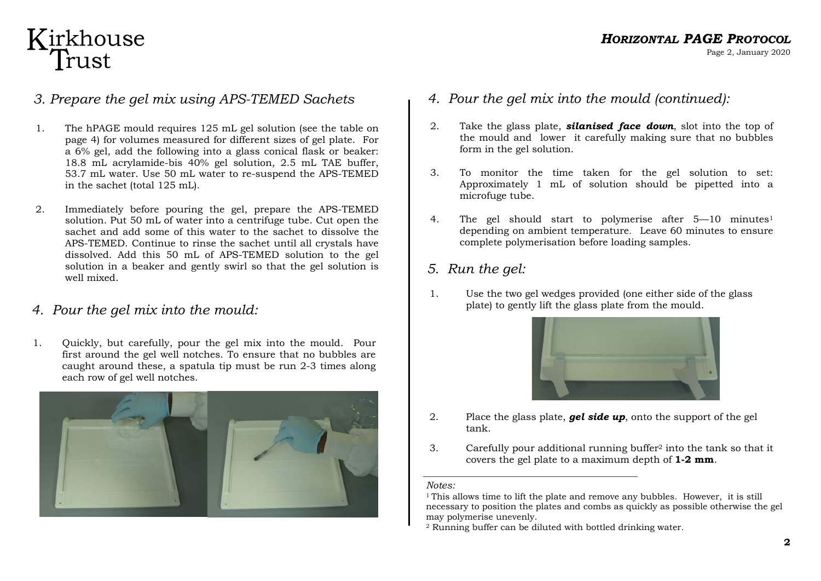## Kirkhouse<br>Trust

#### *3. Prepare the gel mix using APS-TEMED Sachets*

- 1. The hPAGE mould requires 125 mL gel solution (see the table on page 4) for volumes measured for different sizes of gel plate. For a 6% gel, add the following into a glass conical flask or beaker: 18.8 mL acrylamide-bis 40% gel solution, 2.5 mL TAE buffer, 53.7 mL water. Use 50 mL water to re-suspend the APS-TEMED in the sachet (total 125 mL).
- 2. Immediately before pouring the gel, prepare the APS-TEMED solution. Put 50 mL of water into a centrifuge tube. Cut open the sachet and add some of this water to the sachet to dissolve the APS-TEMED. Continue to rinse the sachet until all crystals have dissolved. Add this 50 mL of APS-TEMED solution to the gel solution in a beaker and gently swirl so that the gel solution is well mixed.
- *4. Pour the gel mix into the mould:*
- 1. Quickly, but carefully, pour the gel mix into the mould. Pour first around the gel well notches. To ensure that no bubbles are caught around these, a spatula tip must be run 2-3 times along each row of gel well notches.



- *4. Pour the gel mix into the mould (continued):*
- 2. Take the glass plate, *silanised face down*, slot into the top of the mould and lower it carefully making sure that no bubbles form in the gel solution.
- 3. To monitor the time taken for the gel solution to set: Approximately 1 mL of solution should be pipetted into a microfuge tube.
- 4. The gel should start to polymerise after 5–10 minutes<sup>1</sup> depending on ambient temperature. Leave 60 minutes to ensure complete polymerisation before loading samples.
- *5. Run the gel:*
- 1. Use the two gel wedges provided (one either side of the glass plate) to gently lift the glass plate from the mould.



- 2. Place the glass plate, *gel side up*, onto the support of the gel tank.
- 3. Carefully pour additional running buffer2 into the tank so that it covers the gel plate to a maximum depth of **1-2 mm**.

*Notes:* 

<sup>&</sup>lt;sup>1</sup> This allows time to lift the plate and remove any bubbles. However, it is still necessary to position the plates and combs as quickly as possible otherwise the gel may polymerise unevenly.

<sup>2</sup> Running buffer can be diluted with bottled drinking water.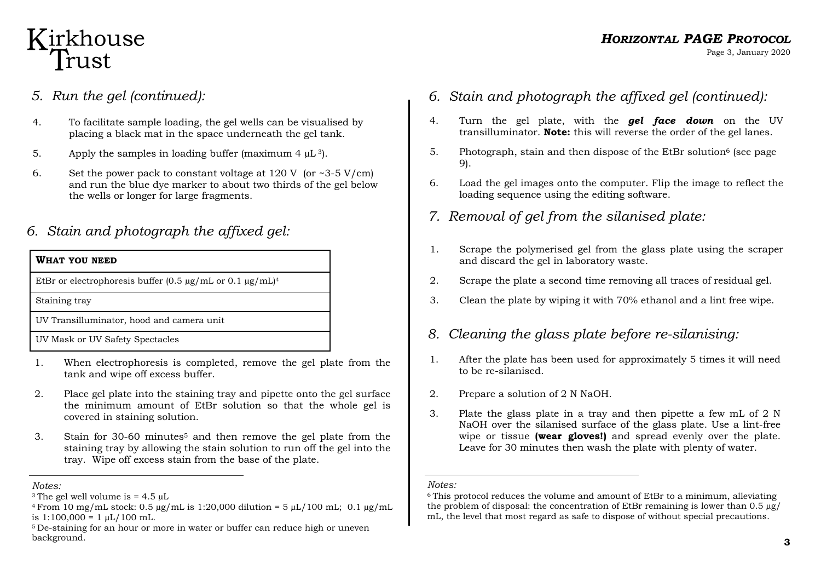## Kirkhouse Trust

- *5. Run the gel (continued):*
- 4. To facilitate sample loading, the gel wells can be visualised by placing a black mat in the space underneath the gel tank.
- 5. Apply the samples in loading buffer (maximum 4  $\mu$ L<sup>3</sup>).
- 6. Set the power pack to constant voltage at  $120 \text{ V}$  (or  $\approx 3.5 \text{ V/cm}$ ) and run the blue dye marker to about two thirds of the gel below the wells or longer for large fragments.

#### *6. Stain and photograph the affixed gel:*

| WHAT YOU NEED                                                                  |
|--------------------------------------------------------------------------------|
| EtBr or electrophoresis buffer $(0.5 \mu g/mL)$ or $0.1 \mu g/mL$ <sup>4</sup> |
| Staining tray                                                                  |
| UV Transilluminator, hood and camera unit                                      |
| UV Mask or UV Safety Spectacles                                                |

- 1. When electrophoresis is completed, remove the gel plate from the tank and wipe off excess buffer.
- 2. Place gel plate into the staining tray and pipette onto the gel surface the minimum amount of EtBr solution so that the whole gel is covered in staining solution.
- 3. Stain for 30-60 minutes5 and then remove the gel plate from the staining tray by allowing the stain solution to run off the gel into the tray. Wipe off excess stain from the base of the plate.
- *6. Stain and photograph the affixed gel (continued):*
- 4. Turn the gel plate, with the *gel face down* on the UV transilluminator. **Note:** this will reverse the order of the gel lanes.
- 5. Photograph, stain and then dispose of the EtBr solution<sup>6</sup> (see page) 9).
- 6. Load the gel images onto the computer. Flip the image to reflect the loading sequence using the editing software.
- *7. Removal of gel from the silanised plate:*
- 1. Scrape the polymerised gel from the glass plate using the scraper and discard the gel in laboratory waste.
- 2. Scrape the plate a second time removing all traces of residual gel.
- 3. Clean the plate by wiping it with 70% ethanol and a lint free wipe.

#### *8. Cleaning the glass plate before re-silanising:*

- 1. After the plate has been used for approximately 5 times it will need to be re-silanised.
- 2. Prepare a solution of 2 N NaOH.
- 3. Plate the glass plate in a tray and then pipette a few mL of 2 N NaOH over the silanised surface of the glass plate. Use a lint-free wipe or tissue **(wear gloves!)** and spread evenly over the plate. Leave for 30 minutes then wash the plate with plenty of water.

#### *Notes:*

*Notes:* 

<sup>&</sup>lt;sup>3</sup> The gel well volume is  $= 4.5$   $\mu$ 

 $4$  From 10 mg/mL stock: 0.5  $\mu$ g/mL is 1:20,000 dilution = 5  $\mu$ L/100 mL; 0.1  $\mu$ g/mL is  $1:100,000 = 1 \mu L/100 \text{ mL}$ .

<sup>5</sup> De-staining for an hour or more in water or buffer can reduce high or uneven background.

<sup>6</sup> This protocol reduces the volume and amount of EtBr to a minimum, alleviating the problem of disposal: the concentration of EtBr remaining is lower than  $0.5 \mu g$ / mL, the level that most regard as safe to dispose of without special precautions.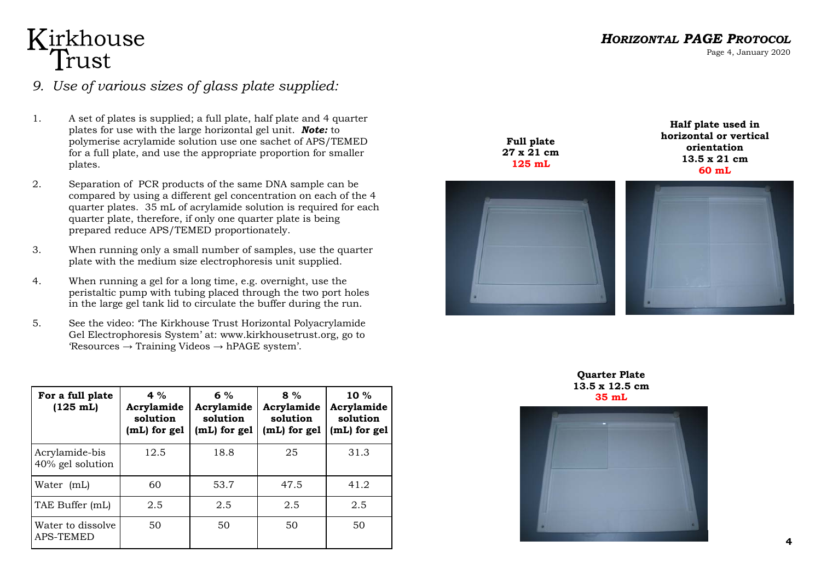# Kirkhouse<br>Trust

#### *9. Use of various sizes of glass plate supplied:*

- 1. A set of plates is supplied; a full plate, half plate and 4 quarter plates for use with the large horizontal gel unit. *Note:* to polymerise acrylamide solution use one sachet of APS/TEMED for a full plate, and use the appropriate proportion for smaller plates.
- 2. Separation of PCR products of the same DNA sample can be compared by using a different gel concentration on each of the 4 quarter plates. 35 mL of acrylamide solution is required for each quarter plate, therefore, if only one quarter plate is being prepared reduce APS/TEMED proportionately.
- 3. When running only a small number of samples, use the quarter plate with the medium size electrophoresis unit supplied.
- 4. When running a gel for a long time, e.g. overnight, use the peristaltic pump with tubing placed through the two port holes in the large gel tank lid to circulate the buffer during the run.
- 5. See the video: 'The Kirkhouse Trust Horizontal Polyacrylamide Gel Electrophoresis System' at: www.kirkhousetrust.org, go to  $\text{``Resources}\rightarrow \text{Training\,Vides}\rightarrow \text{hPAGE}\, \text{system''}.$

| For a full plate<br>$(125 \; \text{mL})$ | 4 $%$<br>Acrylamide<br>solution<br>(mL) for gel | $6\%$<br>Acrylamide<br>solution<br>(mL) for gel | $8\%$<br>Acrylamide<br>solution<br>(mL) for gel | $10 \%$<br>Acrylamide<br>solution<br>(mL) for gel |
|------------------------------------------|-------------------------------------------------|-------------------------------------------------|-------------------------------------------------|---------------------------------------------------|
| Acrylamide-bis<br>40% gel solution       | 12.5                                            | 18.8                                            | 25                                              | 31.3                                              |
| Water (mL)                               | 60                                              | 53.7                                            | 47.5                                            | 41.2                                              |
| TAE Buffer (mL)                          | 2.5                                             | 2.5                                             | 2.5                                             | 2.5                                               |
| Water to dissolve<br><b>APS-TEMED</b>    | 50                                              | 50                                              | 50                                              | 50                                                |

*HORIZONTAL PAGE PROTOCOL*

Page 4, January 2020

**Full plate 27 x 21 cm 125 mL** 

**Half plate used in horizontal or vertical orientation 13.5 x 21 cm 60 mL** 



**Quarter Plate 13.5 x 12.5 cm**